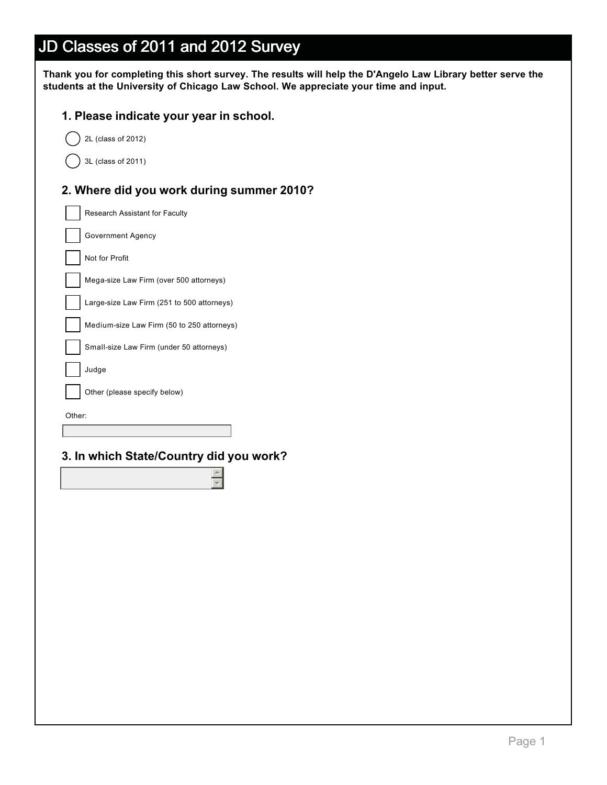| Thank you for completing this short survey. The results will help the D'Angelo Law Library better serve the |
|-------------------------------------------------------------------------------------------------------------|
| students at the University of Chicago Law School. We appreciate your time and input.                        |

#### **1. Please indicate your year in school.**

2L (class of 2012)

3L (class of 2011)

#### **2. Where did you work during summer 2010?**

Research Assistant for Faculty Government Agency Not for Profit Mega-size Law Firm (over 500 attorneys) Large-size Law Firm (251 to 500 attorneys) Medium-size Law Firm (50 to 250 attorneys) Small-size Law Firm (under 50 attorneys) Judge Other (please specify below)

Other:

### **3. In which State/Country did you work?**

 $\triangleq$  $\overline{ }$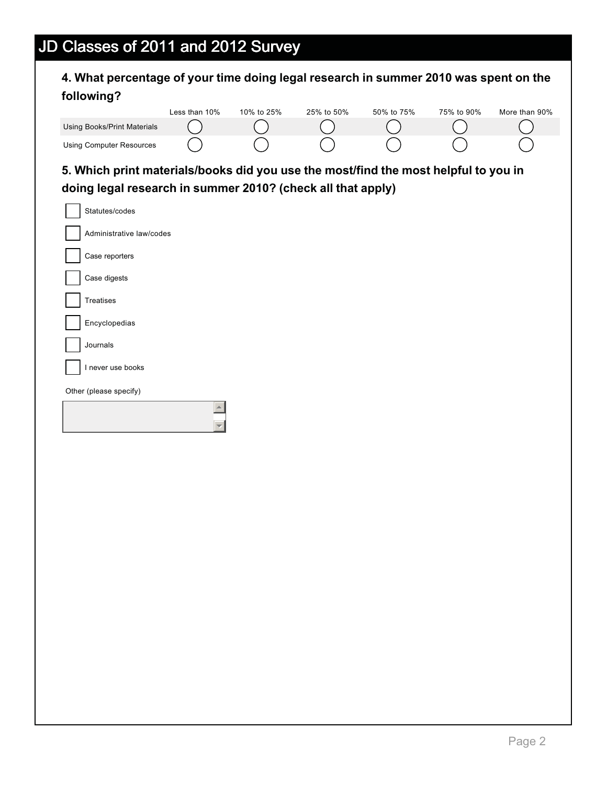| <b>Using Books/Print Materials</b><br><b>Using Computer Resources</b>               | Less than 10% | 10% to 25% | 25% to 50% | 50% to 75% | 75% to 90% | More than 90% |
|-------------------------------------------------------------------------------------|---------------|------------|------------|------------|------------|---------------|
|                                                                                     |               |            |            |            |            |               |
|                                                                                     |               |            |            |            |            |               |
|                                                                                     |               |            |            |            |            |               |
| 5. Which print materials/books did you use the most/find the most helpful to you in |               |            |            |            |            |               |
| doing legal research in summer 2010? (check all that apply)                         |               |            |            |            |            |               |
| Statutes/codes                                                                      |               |            |            |            |            |               |
| Administrative law/codes                                                            |               |            |            |            |            |               |
| Case reporters                                                                      |               |            |            |            |            |               |
| Case digests                                                                        |               |            |            |            |            |               |
| Treatises                                                                           |               |            |            |            |            |               |
| Encyclopedias                                                                       |               |            |            |            |            |               |
| Journals                                                                            |               |            |            |            |            |               |
| I never use books                                                                   |               |            |            |            |            |               |
| Other (please specify)                                                              |               |            |            |            |            |               |
|                                                                                     |               |            |            |            |            |               |
|                                                                                     |               |            |            |            |            |               |
|                                                                                     |               |            |            |            |            |               |
|                                                                                     |               |            |            |            |            |               |
|                                                                                     |               |            |            |            |            |               |
|                                                                                     |               |            |            |            |            |               |
|                                                                                     |               |            |            |            |            |               |
|                                                                                     |               |            |            |            |            |               |
|                                                                                     |               |            |            |            |            |               |
|                                                                                     |               |            |            |            |            |               |
|                                                                                     |               |            |            |            |            |               |
|                                                                                     |               |            |            |            |            |               |
|                                                                                     |               |            |            |            |            |               |
|                                                                                     |               |            |            |            |            |               |
|                                                                                     |               |            |            |            |            |               |
|                                                                                     |               |            |            |            |            |               |
|                                                                                     |               |            |            |            |            |               |
|                                                                                     |               |            |            |            |            |               |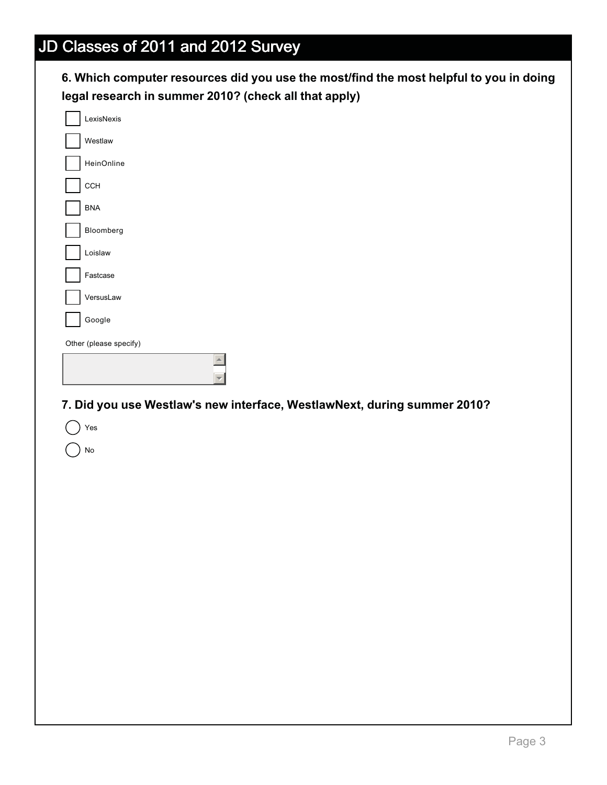### **6. Which computer resources did you use the most/find the most helpful to you in doing legal research in summer 2010? (check all that apply)**

| LexisNexis<br>Westlaw<br>HeinOnline<br>CCH<br><b>BNA</b><br>Bloomberg<br>Loislaw<br>Fastcase<br>VersusLaw<br>Google<br>Other (please specify)<br>$\blacktriangle$<br>7. Did you use Westlaw's new interface, WestlawNext, during summer 2010?<br>Yes<br>No |  |
|------------------------------------------------------------------------------------------------------------------------------------------------------------------------------------------------------------------------------------------------------------|--|
|                                                                                                                                                                                                                                                            |  |
|                                                                                                                                                                                                                                                            |  |
|                                                                                                                                                                                                                                                            |  |
|                                                                                                                                                                                                                                                            |  |
|                                                                                                                                                                                                                                                            |  |
|                                                                                                                                                                                                                                                            |  |
|                                                                                                                                                                                                                                                            |  |
|                                                                                                                                                                                                                                                            |  |
|                                                                                                                                                                                                                                                            |  |
|                                                                                                                                                                                                                                                            |  |
|                                                                                                                                                                                                                                                            |  |
|                                                                                                                                                                                                                                                            |  |
|                                                                                                                                                                                                                                                            |  |
|                                                                                                                                                                                                                                                            |  |
|                                                                                                                                                                                                                                                            |  |
|                                                                                                                                                                                                                                                            |  |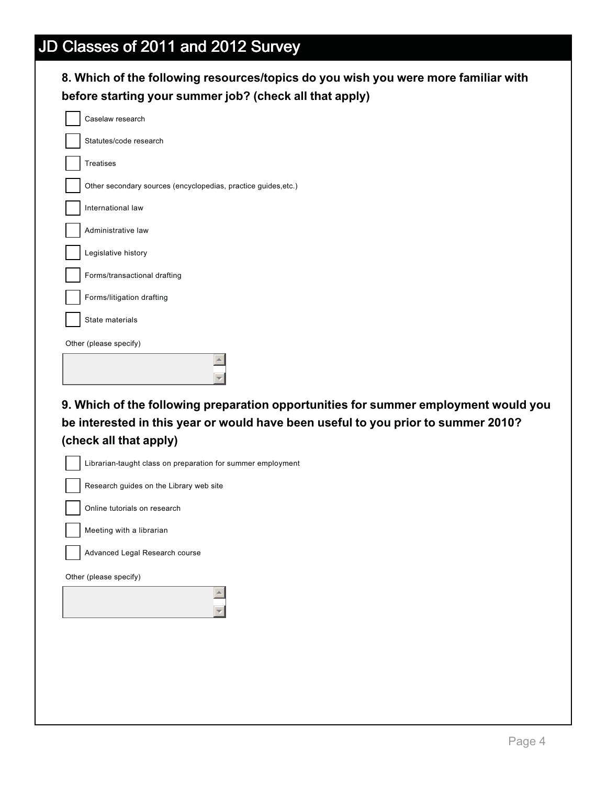### **8. Which of the following resources/topics do you wish you were more familiar with before starting your summer job? (check all that apply)**

| Caselaw research                                                                    |  |
|-------------------------------------------------------------------------------------|--|
| Statutes/code research                                                              |  |
| <b>Treatises</b>                                                                    |  |
| Other secondary sources (encyclopedias, practice guides, etc.)                      |  |
| International law                                                                   |  |
| Administrative law                                                                  |  |
| Legislative history                                                                 |  |
| Forms/transactional drafting                                                        |  |
| Forms/litigation drafting                                                           |  |
| State materials                                                                     |  |
| Other (please specify)                                                              |  |
|                                                                                     |  |
|                                                                                     |  |
|                                                                                     |  |
|                                                                                     |  |
|                                                                                     |  |
| 9. Which of the following preparation opportunities for summer employment would you |  |
| be interested in this year or would have been useful to you prior to summer 2010?   |  |
| (check all that apply)                                                              |  |
| Librarian-taught class on preparation for summer employment                         |  |
| Research guides on the Library web site                                             |  |
| Online tutorials on research                                                        |  |
| Meeting with a librarian                                                            |  |
| Advanced Legal Research course                                                      |  |
| Other (please specify)                                                              |  |
|                                                                                     |  |
|                                                                                     |  |
|                                                                                     |  |
|                                                                                     |  |
|                                                                                     |  |
|                                                                                     |  |